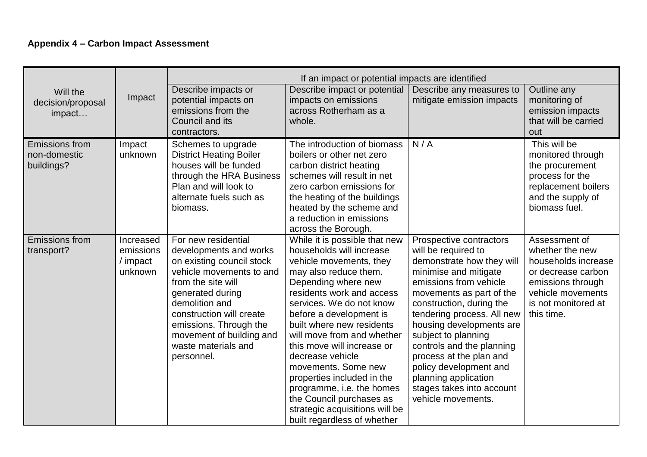## **Appendix 4 – Carbon Impact Assessment**

|                                                     |                                               | If an impact or potential impacts are identified                                                                                                                                                                                                                                          |                                                                                                                                                                                                                                                                                                                                                                                                                                                                                                                      |                                                                                                                                                                                                                                                                                                                                                                                                                                      |                                                                                                                                                              |
|-----------------------------------------------------|-----------------------------------------------|-------------------------------------------------------------------------------------------------------------------------------------------------------------------------------------------------------------------------------------------------------------------------------------------|----------------------------------------------------------------------------------------------------------------------------------------------------------------------------------------------------------------------------------------------------------------------------------------------------------------------------------------------------------------------------------------------------------------------------------------------------------------------------------------------------------------------|--------------------------------------------------------------------------------------------------------------------------------------------------------------------------------------------------------------------------------------------------------------------------------------------------------------------------------------------------------------------------------------------------------------------------------------|--------------------------------------------------------------------------------------------------------------------------------------------------------------|
| Will the<br>decision/proposal<br>impact             | Impact                                        | Describe impacts or<br>potential impacts on<br>emissions from the                                                                                                                                                                                                                         | Describe impact or potential<br>impacts on emissions<br>across Rotherham as a                                                                                                                                                                                                                                                                                                                                                                                                                                        | Describe any measures to<br>mitigate emission impacts                                                                                                                                                                                                                                                                                                                                                                                | Outline any<br>monitoring of<br>emission impacts                                                                                                             |
|                                                     |                                               | Council and its<br>contractors.                                                                                                                                                                                                                                                           | whole.                                                                                                                                                                                                                                                                                                                                                                                                                                                                                                               |                                                                                                                                                                                                                                                                                                                                                                                                                                      | that will be carried<br>out                                                                                                                                  |
| <b>Emissions from</b><br>non-domestic<br>buildings? | Impact<br>unknown                             | Schemes to upgrade<br><b>District Heating Boiler</b><br>houses will be funded<br>through the HRA Business<br>Plan and will look to<br>alternate fuels such as<br>biomass.                                                                                                                 | The introduction of biomass<br>boilers or other net zero<br>carbon district heating<br>schemes will result in net<br>zero carbon emissions for<br>the heating of the buildings<br>heated by the scheme and<br>a reduction in emissions<br>across the Borough.                                                                                                                                                                                                                                                        | N/A                                                                                                                                                                                                                                                                                                                                                                                                                                  | This will be<br>monitored through<br>the procurement<br>process for the<br>replacement boilers<br>and the supply of<br>biomass fuel.                         |
| <b>Emissions from</b><br>transport?                 | Increased<br>emissions<br>/ impact<br>unknown | For new residential<br>developments and works<br>on existing council stock<br>vehicle movements to and<br>from the site will<br>generated during<br>demolition and<br>construction will create<br>emissions. Through the<br>movement of building and<br>waste materials and<br>personnel. | While it is possible that new<br>households will increase<br>vehicle movements, they<br>may also reduce them.<br>Depending where new<br>residents work and access<br>services. We do not know<br>before a development is<br>built where new residents<br>will move from and whether<br>this move will increase or<br>decrease vehicle<br>movements. Some new<br>properties included in the<br>programme, i.e. the homes<br>the Council purchases as<br>strategic acquisitions will be<br>built regardless of whether | Prospective contractors<br>will be required to<br>demonstrate how they will<br>minimise and mitigate<br>emissions from vehicle<br>movements as part of the<br>construction, during the<br>tendering process. All new<br>housing developments are<br>subject to planning<br>controls and the planning<br>process at the plan and<br>policy development and<br>planning application<br>stages takes into account<br>vehicle movements. | Assessment of<br>whether the new<br>households increase<br>or decrease carbon<br>emissions through<br>vehicle movements<br>is not monitored at<br>this time. |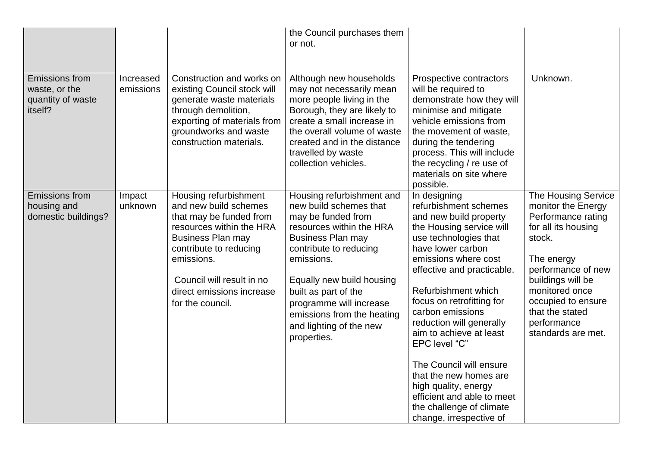|                                                                        |                        |                                                                                                                                                                                                                                                         | the Council purchases them<br>or not.                                                                                                                                                                                                                                                                                             |                                                                                                                                                                                                                                                                                                                                                                                                                                                                                                                   |                                                                                                                                                                                                                                                                  |
|------------------------------------------------------------------------|------------------------|---------------------------------------------------------------------------------------------------------------------------------------------------------------------------------------------------------------------------------------------------------|-----------------------------------------------------------------------------------------------------------------------------------------------------------------------------------------------------------------------------------------------------------------------------------------------------------------------------------|-------------------------------------------------------------------------------------------------------------------------------------------------------------------------------------------------------------------------------------------------------------------------------------------------------------------------------------------------------------------------------------------------------------------------------------------------------------------------------------------------------------------|------------------------------------------------------------------------------------------------------------------------------------------------------------------------------------------------------------------------------------------------------------------|
| <b>Emissions from</b><br>waste, or the<br>quantity of waste<br>itself? | Increased<br>emissions | Construction and works on<br>existing Council stock will<br>generate waste materials<br>through demolition,<br>exporting of materials from<br>groundworks and waste<br>construction materials.                                                          | Although new households<br>may not necessarily mean<br>more people living in the<br>Borough, they are likely to<br>create a small increase in<br>the overall volume of waste<br>created and in the distance<br>travelled by waste<br>collection vehicles.                                                                         | Prospective contractors<br>will be required to<br>demonstrate how they will<br>minimise and mitigate<br>vehicle emissions from<br>the movement of waste,<br>during the tendering<br>process. This will include<br>the recycling / re use of<br>materials on site where<br>possible.                                                                                                                                                                                                                               | Unknown.                                                                                                                                                                                                                                                         |
| <b>Emissions from</b><br>housing and<br>domestic buildings?            | Impact<br>unknown      | Housing refurbishment<br>and new build schemes<br>that may be funded from<br>resources within the HRA<br><b>Business Plan may</b><br>contribute to reducing<br>emissions.<br>Council will result in no<br>direct emissions increase<br>for the council. | Housing refurbishment and<br>new build schemes that<br>may be funded from<br>resources within the HRA<br><b>Business Plan may</b><br>contribute to reducing<br>emissions.<br>Equally new build housing<br>built as part of the<br>programme will increase<br>emissions from the heating<br>and lighting of the new<br>properties. | In designing<br>refurbishment schemes<br>and new build property<br>the Housing service will<br>use technologies that<br>have lower carbon<br>emissions where cost<br>effective and practicable.<br>Refurbishment which<br>focus on retrofitting for<br>carbon emissions<br>reduction will generally<br>aim to achieve at least<br>EPC level "C"<br>The Council will ensure<br>that the new homes are<br>high quality, energy<br>efficient and able to meet<br>the challenge of climate<br>change, irrespective of | <b>The Housing Service</b><br>monitor the Energy<br>Performance rating<br>for all its housing<br>stock.<br>The energy<br>performance of new<br>buildings will be<br>monitored once<br>occupied to ensure<br>that the stated<br>performance<br>standards are met. |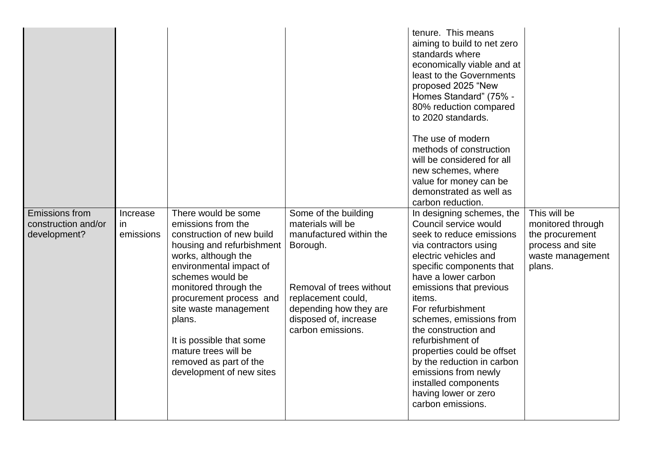|                                                              |                              |                                                                                                                                                                                                                                                                                                                                                                            |                                                                                                                                                                                                            | tenure. This means<br>aiming to build to net zero<br>standards where<br>economically viable and at<br>least to the Governments<br>proposed 2025 "New<br>Homes Standard" (75% -<br>80% reduction compared<br>to 2020 standards.<br>The use of modern<br>methods of construction<br>will be considered for all<br>new schemes, where<br>value for money can be<br>demonstrated as well as<br>carbon reduction.                                                                  |                                                                                                        |
|--------------------------------------------------------------|------------------------------|----------------------------------------------------------------------------------------------------------------------------------------------------------------------------------------------------------------------------------------------------------------------------------------------------------------------------------------------------------------------------|------------------------------------------------------------------------------------------------------------------------------------------------------------------------------------------------------------|-------------------------------------------------------------------------------------------------------------------------------------------------------------------------------------------------------------------------------------------------------------------------------------------------------------------------------------------------------------------------------------------------------------------------------------------------------------------------------|--------------------------------------------------------------------------------------------------------|
| <b>Emissions from</b><br>construction and/or<br>development? | Increase<br>in.<br>emissions | There would be some<br>emissions from the<br>construction of new build<br>housing and refurbishment<br>works, although the<br>environmental impact of<br>schemes would be<br>monitored through the<br>procurement process and<br>site waste management<br>plans.<br>It is possible that some<br>mature trees will be<br>removed as part of the<br>development of new sites | Some of the building<br>materials will be<br>manufactured within the<br>Borough.<br>Removal of trees without<br>replacement could,<br>depending how they are<br>disposed of, increase<br>carbon emissions. | In designing schemes, the<br>Council service would<br>seek to reduce emissions<br>via contractors using<br>electric vehicles and<br>specific components that<br>have a lower carbon<br>emissions that previous<br>items.<br>For refurbishment<br>schemes, emissions from<br>the construction and<br>refurbishment of<br>properties could be offset<br>by the reduction in carbon<br>emissions from newly<br>installed components<br>having lower or zero<br>carbon emissions. | This will be<br>monitored through<br>the procurement<br>process and site<br>waste management<br>plans. |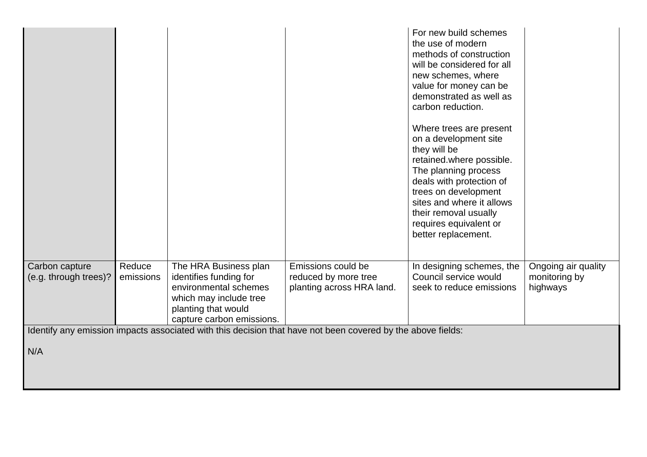|                       |           |                                                 |                                                                                                             | For new build schemes<br>the use of modern<br>methods of construction<br>will be considered for all<br>new schemes, where<br>value for money can be<br>demonstrated as well as<br>carbon reduction.<br>Where trees are present<br>on a development site<br>they will be<br>retained.where possible.<br>The planning process<br>deals with protection of<br>trees on development<br>sites and where it allows<br>their removal usually<br>requires equivalent or<br>better replacement. |                           |
|-----------------------|-----------|-------------------------------------------------|-------------------------------------------------------------------------------------------------------------|----------------------------------------------------------------------------------------------------------------------------------------------------------------------------------------------------------------------------------------------------------------------------------------------------------------------------------------------------------------------------------------------------------------------------------------------------------------------------------------|---------------------------|
| Carbon capture        | Reduce    | The HRA Business plan                           | Emissions could be                                                                                          | In designing schemes, the                                                                                                                                                                                                                                                                                                                                                                                                                                                              | Ongoing air quality       |
| (e.g. through trees)? | emissions | identifies funding for<br>environmental schemes | reduced by more tree<br>planting across HRA land.                                                           | Council service would<br>seek to reduce emissions                                                                                                                                                                                                                                                                                                                                                                                                                                      | monitoring by<br>highways |
|                       |           | which may include tree                          |                                                                                                             |                                                                                                                                                                                                                                                                                                                                                                                                                                                                                        |                           |
|                       |           | planting that would                             |                                                                                                             |                                                                                                                                                                                                                                                                                                                                                                                                                                                                                        |                           |
|                       |           | capture carbon emissions.                       |                                                                                                             |                                                                                                                                                                                                                                                                                                                                                                                                                                                                                        |                           |
|                       |           |                                                 | Identify any emission impacts associated with this decision that have not been covered by the above fields: |                                                                                                                                                                                                                                                                                                                                                                                                                                                                                        |                           |
| N/A                   |           |                                                 |                                                                                                             |                                                                                                                                                                                                                                                                                                                                                                                                                                                                                        |                           |
|                       |           |                                                 |                                                                                                             |                                                                                                                                                                                                                                                                                                                                                                                                                                                                                        |                           |
|                       |           |                                                 |                                                                                                             |                                                                                                                                                                                                                                                                                                                                                                                                                                                                                        |                           |
|                       |           |                                                 |                                                                                                             |                                                                                                                                                                                                                                                                                                                                                                                                                                                                                        |                           |